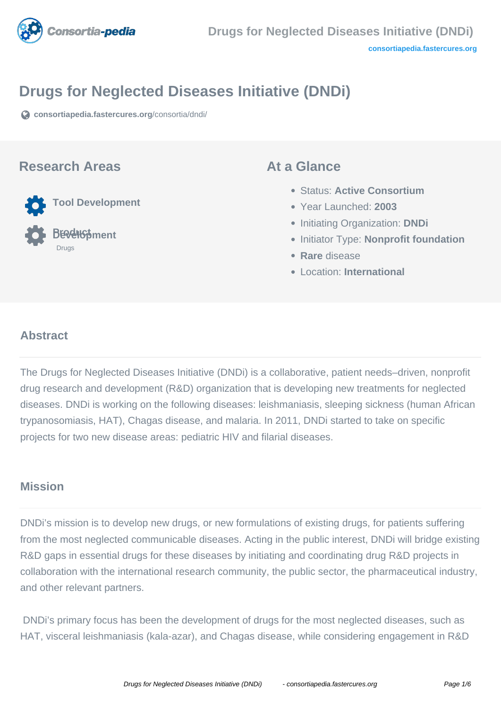

# **Drugs for Neglected Diseases Initiative (DNDi)**

**[consortiapedia.fastercures.org](https://consortiapedia.fastercures.org/consortia/dndi/)**[/consortia/dndi/](https://consortiapedia.fastercures.org/consortia/dndi/)

### **Research Areas**

**Tool Development**

**BEVelopment** Drugs

### **At a Glance**

- Status: **Active Consortium**
- Year Launched: **2003**
- **Initiating Organization: DNDi**
- **Initiator Type: Nonprofit foundation**
- **Rare** disease
- Location: **International**

#### $\overline{a}$ **Abstract**

The Drugs for Neglected Diseases Initiative (DNDi) is a collaborative, patient needs–driven, nonprofit drug research and development (R&D) organization that is developing new treatments for neglected diseases. DNDi is working on the following diseases: leishmaniasis, sleeping sickness (human African trypanosomiasis, HAT), Chagas disease, and malaria. In 2011, DNDi started to take on specific projects for two new disease areas: pediatric HIV and filarial diseases.

### **Mission**

DNDi's mission is to develop new drugs, or new formulations of existing drugs, for patients suffering from the most neglected communicable diseases. Acting in the public interest, DNDi will bridge existing R&D gaps in essential drugs for these diseases by initiating and coordinating drug R&D projects in collaboration with the international research community, the public sector, the pharmaceutical industry, and other relevant partners.

 DNDi's primary focus has been the development of drugs for the most neglected diseases, such as HAT, visceral leishmaniasis (kala-azar), and Chagas disease, while considering engagement in R&D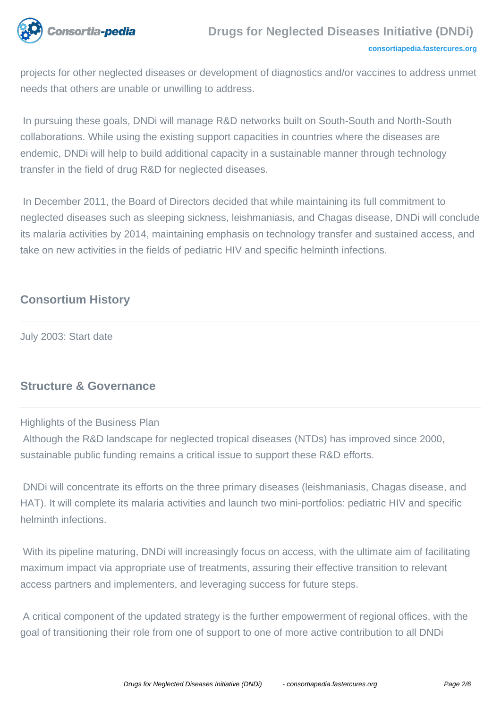

projects for other neglected diseases or development of diagnostics and/or vaccines to address unmet needs that others are unable or unwilling to address.

 In pursuing these goals, DNDi will manage R&D networks built on South-South and North-South collaborations. While using the existing support capacities in countries where the diseases are endemic, DNDi will help to build additional capacity in a sustainable manner through technology transfer in the field of drug R&D for neglected diseases.

 In December 2011, the Board of Directors decided that while maintaining its full commitment to neglected diseases such as sleeping sickness, leishmaniasis, and Chagas disease, DNDi will conclude its malaria activities by 2014, maintaining emphasis on technology transfer and sustained access, and take on new activities in the fields of pediatric HIV and specific helminth infections.

## **Consortium History**

July 2003: Start date

### **Structure & Governance**

#### Highlights of the Business Plan

 Although the R&D landscape for neglected tropical diseases (NTDs) has improved since 2000, sustainable public funding remains a critical issue to support these R&D efforts.

 DNDi will concentrate its efforts on the three primary diseases (leishmaniasis, Chagas disease, and HAT). It will complete its malaria activities and launch two mini-portfolios: pediatric HIV and specific helminth infections.

With its pipeline maturing, DNDi will increasingly focus on access, with the ultimate aim of facilitating maximum impact via appropriate use of treatments, assuring their effective transition to relevant access partners and implementers, and leveraging success for future steps.

 A critical component of the updated strategy is the further empowerment of regional offices, with the goal of transitioning their role from one of support to one of more active contribution to all DNDi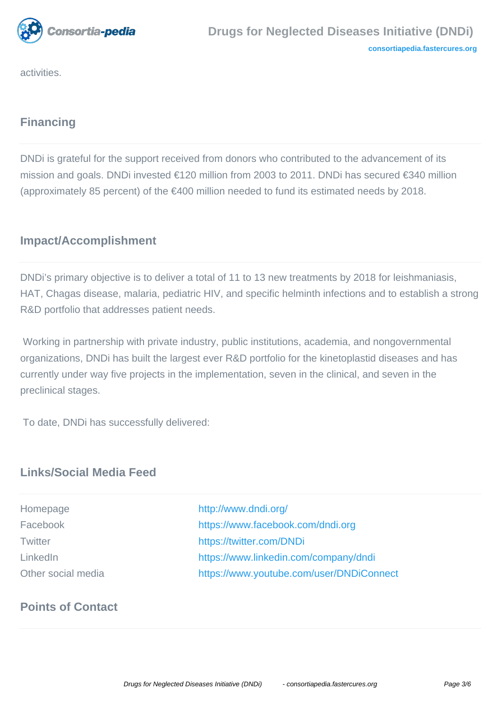

activities.

# **Financing**

DNDi is grateful for the support received from donors who contributed to the advancement of its mission and goals. DNDi invested €120 million from 2003 to 2011. DNDi has secured €340 million (approximately 85 percent) of the €400 million needed to fund its estimated needs by 2018.

# **Impact/Accomplishment**

DNDi's primary objective is to deliver a total of 11 to 13 new treatments by 2018 for leishmaniasis, HAT, Chagas disease, malaria, pediatric HIV, and specific helminth infections and to establish a strong R&D portfolio that addresses patient needs.

 Working in partnership with private industry, public institutions, academia, and nongovernmental organizations, DNDi has built the largest ever R&D portfolio for the kinetoplastid diseases and has currently under way five projects in the implementation, seven in the clinical, and seven in the preclinical stages.

To date, DNDi has successfully delivered:

## **Links/Social Media Feed**

| Homepage           |
|--------------------|
| Facebook           |
| <b>Twitter</b>     |
| LinkedIn           |
| Other social media |

<http://www.dndi.org/> <https://www.facebook.com/dndi.org> <https://twitter.com/DNDi> <https://www.linkedin.com/company/dndi> <https://www.youtube.com/user/DNDiConnect>

# **Points of Contact**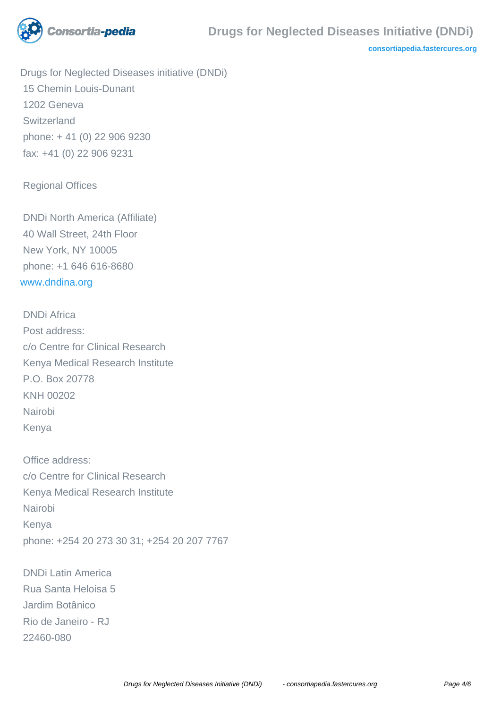

**[consortiapedia.fastercures.org](http://consortiapedia.fastercures.org/)**

Drugs for Neglected Diseases initiative (DNDi) 15 Chemin Louis-Dunant 1202 Geneva Switzerland phone: + 41 (0) 22 906 9230 fax: +41 (0) 22 906 9231

Regional Offices

 DNDi North America (Affiliate) 40 Wall Street, 24th Floor New York, NY 10005 phone: +1 646 616-8680 [www.dndina.org](http://www.dndina.org)

 DNDi Africa Post address: c/o Centre for Clinical Research Kenya Medical Research Institute P.O. Box 20778 KNH 00202 Nairobi Kenya

 Office address: c/o Centre for Clinical Research Kenya Medical Research Institute Nairobi Kenya phone: +254 20 273 30 31; +254 20 207 7767

 DNDi Latin America Rua Santa Heloisa 5 Jardim Botânico Rio de Janeiro - RJ 22460-080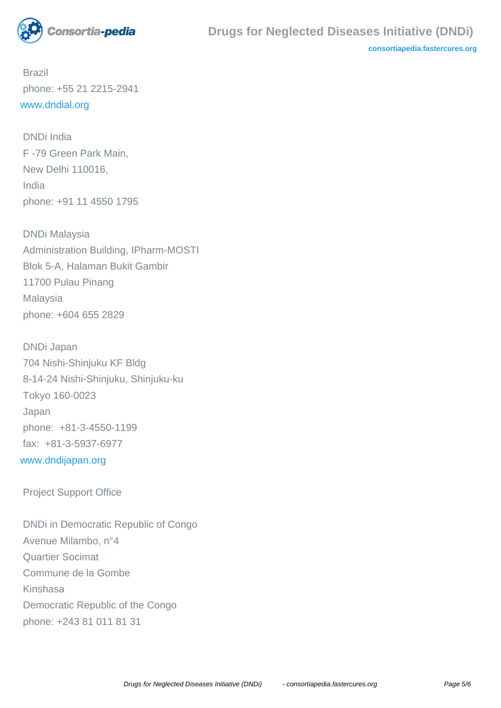

**[consortiapedia.fastercures.org](http://consortiapedia.fastercures.org/)**

 Brazil phone: +55 21 2215-2941 [www.dndial.org](http://www.dndial.org)

 DNDi India F -79 Green Park Main, New Delhi 110016, India phone: +91 11 4550 1795

 DNDi Malaysia Administration Building, IPharm-MOSTI Blok 5-A, Halaman Bukit Gambir 11700 Pulau Pinang Malaysia phone: +604 655 2829

 DNDi Japan 704 Nishi-Shinjuku KF Bldg 8-14-24 Nishi-Shinjuku, Shinjuku-ku Tokyo 160-0023 Japan phone: +81-3-4550-1199 fax: +81-3-5937-6977 [www.dndijapan.org](http://www.dndijapan.org)

Project Support Office

 DNDi in Democratic Republic of Congo Avenue Milambo, n°4 Quartier Socimat Commune de la Gombe Kinshasa Democratic Republic of the Congo phone: +243 81 011 81 31